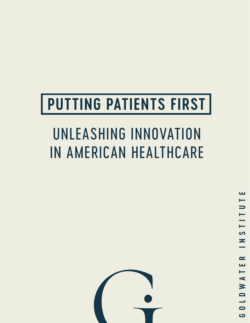# **PUTTING PATIENTS FIRST**

# UNLEASHING INNOVATION IN AMERICAN HEALTHCARE

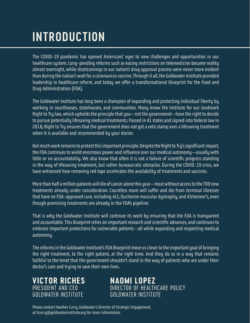# **INTRODUCTION**

The COVID-19 pandemic has opened Americans' eyes to new challenges and opportunities in our healthcare system. Long-pending reforms such as easing restrictions on telemedicine became reality almost overnight, while shortcomings in our nation's drug approval process were never more evident than during the nation's wait for a coronavirus vaccine. Through it all, the Goldwater Institute provided leadership in healthcare reform, and today we offer a transformational blueprint for the Food and Drug Administration (FDA).

The Goldwater Institute has long been a champion of expanding and protecting individual liberty by working in courthouses, statehouses, and communities. Many know the Institute for our landmark Right to Try law, which upholds the principle that you—not the government—have the right to decide to pursue potentially lifesaving medical treatments. Passed in 41 states and signed into federal law in 2018, Right to Try ensures that the government does not get a veto stamp over a lifesaving treatment when it is available and recommended by your doctor.

But much work remains to protect this important principle. Despite the Right to Try's significant impact, the FDA continues to wield enormous power and influence over our medical autonomy—usually with little or no accountability. We also know that often it is not a failure of scientific progress standing in the way of lifesaving treatment, but rather bureaucratic obstacles. During the COVID-19 crisis, we have witnessed how removing red tape accelerates the availability of treatments and vaccines.

More than half a million patients will die of cancer alone this year—most without access to the 700 new treatments already under consideration. Countless more will suffer and die from terminal illnesses that have no FDA-approved cure, including ALS, Duchenne muscular dystrophy, and Alzheimer's, even though promising treatments are already in the FDA's pipeline.

That is why the Goldwater Institute will continue its work by ensuring that the FDA is transparent and accountable. This blueprint relies on important research and scientific advances, and continues to embrace important protections for vulnerable patients—all while expanding and respecting medical autonomy.

The reforms in the Goldwater Institute's FDA Blueprint move us closer to the important goal of bringing the right treatment, to the right patient, at the right time. And they do so in a way that remains faithful to the tenet that the government shouldn't stand in the way of patients who are under their doctor's care and trying to save their own lives.

**VICTOR RICHES** PRESIDENT AND CEO GOLDWATER INSTITUTE

**NAOMI LOPEZ** DIRECTOR OF HEALTHCARE POLICY GOLDWATER INSTITUTE

Please contact Heather Curry, Goldwater's Director of Strategic Engagement, at hcurry@goldwaterinstitute.org for more information.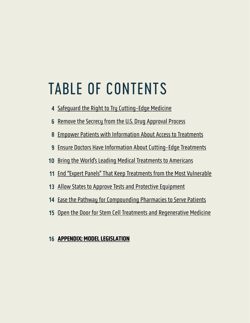# TABLE OF CONTENTS

- [Safeguard the Right to Try Cutting-Edge Medicine](#page-3-0)
- [Remove the Secrecy from the U.S. Drug Approval Process](#page-5-0)
- [Empower Patients with Information About Access to Treatments](#page-7-0)
- [Ensure Doctors Have Information About Cutting-Edge Treatments](#page-8-0)
- [Bring the World's Leading Medical Treatments to Americans](#page-9-0)
- [End "Expert Panels" That Keep Treatments from the Most Vulnerable](#page-10-0)
- [Allow States to Approve Tests and Protective Equipment](#page-12-0)
- [Ease the Pathway for Compounding Pharmacies to Serve Patients](#page-13-0)
- [Open the Door for Stem Cell Treatments and Regenerative Medicine](#page-14-0)

#### [APPENDIX: MODEL LEGISLATION](#page-15-0)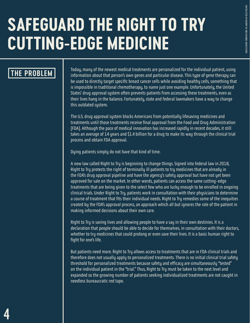# <span id="page-3-0"></span>**SAFEGUARD THE RIGHT TO TRY CUTTING-EDGE MEDICINE**

### **THE PROBLEM**

Today, many of the newest medical treatments are personalized for the individual patient, using information about that person's own genes and particular disease. This type of gene therapy can be used to directly target specific breast cancer cells while avoiding healthy cells, something that is impossible in traditional chemotherapy, to name just one example. Unfortunately, the United States' drug approval system often prevents patients from accessing these treatments, even as their lives hang in the balance. Fortunately, state and federal lawmakers have a way to change this outdated system.

The U.S. drug approval system blocks Americans from potentially lifesaving medicines and treatments until those treatments receive final approval from the Food and Drug Administration (FDA). Although the pace of medical innovation has increased rapidly in recent decades, it still takes an average of 14 years and \$1.4 billion for a drug to make its way through the clinical trial process and obtain FDA approval.

Dying patients simply do not have that kind of time.

A new law called Right to Try is beginning to change things. Signed into federal law in 2018, Right to Try protects the right of terminally ill patients to try medicines that are already in the FDA's drug approval pipeline and have the agency's safety approval but have not yet been approved for sale on the market. In other words, patients can access the same cutting-edge treatments that are being given to the select few who are lucky enough to be enrolled in ongoing clinical trials. Under Right to Try, patients work in consultation with their physicians to determine a course of treatment that fits their individual needs. Right to Try remedies some of the inequities created by the FDA's approval process, an approach which all but ignores the role of the patient in making informed decisions about their own care.

Right to Try is saving lives and allowing people to have a say in their own destinies. It is a declaration that people should be able to decide for themselves, in consultation with their doctors, whether to try medicines that could prolong or even save their lives. It is a basic human right to fight for one's life.

But patients need more. Right to Try allows access to treatments that are in FDA clinical trials and therefore does not usually apply to personalized treatments. There is no initial clinical trial safety threshold for personalized treatments because safety and efficacy are simultaneously "tested" on the individual patient in the "trial." Thus, Right to Try must be taken to the next level and expanded so the growing number of patients seeking individualized treatments are not caught in needless bureaucratic red tape.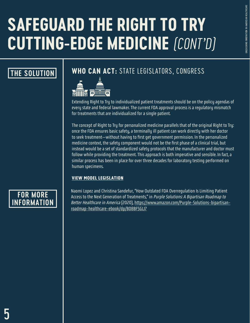# **SAFEGUARD THE RIGHT TO TRY CUTTING-EDGE MEDICINE** *(CONT'D)*

## **THE SOLUTION**

## **WHO CAN ACT:** STATE LEGISLATORS, CONGRESS



Extending Right to Try to individualized patient treatments should be on the policy agendas of every state and federal lawmaker. The current FDA approval process is a regulatory mismatch for treatments that are individualized for a single patient.

The concept of Right to Try for personalized medicine parallels that of the original Right to Try: once the FDA ensures basic safety, a terminally ill patient can work directly with her doctor to seek treatment—without having to first get government permission. In the personalized medicine context, the safety component would not be the first phase of a clinical trial, but instead would be a set of standardized safety protocols that the manufacturer and doctor must follow while providing the treatment. This approach is both imperative and sensible. In fact, a similar process has been in place for over three decades for laboratory testing performed on human specimens.

#### [VIEW MODEL LEGISLATION](#page-16-0)

### **FOR MORE INFORMATION**

Naomi Lopez and Christina Sandefur, "How Outdated FDA Overregulation Is Limiting Patient Access to the Next Generation of Treatments," in Purple Solutions: A Bipartisan Roadmap to Better Healthcare in America (2020), https://www.amazon.com/Purple-Solutions-bipartisanroadmap-healthcare-ebook/dp/B08BF5GLJ7

UNLEASHING INNOVATION IN AMERICAN HEALTHCARE

**JNLEASHING INNOVATION IN AMERICAN HEALTHCARE**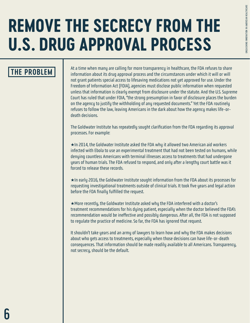# <span id="page-5-0"></span>**REMOVE THE SECRECY FROM THE U.S. DRUG APPROVAL PROCESS**

## **THE PROBLEM**

At a time when many are calling for more transparency in healthcare, the FDA refuses to share information about its drug approval process and the circumstances under which it will or will not grant patients special access to lifesaving medications not yet approved for use. Under the Freedom of Information Act (FOIA), agencies must disclose public information when requested unless that information is clearly exempt from disclosure under the statute. And the U.S. Supreme Court has ruled that under FOIA, "the strong presumption in favor of disclosure places the burden on the agency to justify the withholding of any requested documents." Yet the FDA routinely refuses to follow the law, leaving Americans in the dark about how the agency makes life-ordeath decisions.

The Goldwater Institute has repeatedly sought clarification from the FDA regarding its approval processes. For example:

 $\star$ In 2014, the Goldwater Institute asked the FDA why it allowed two American aid workers infected with Ebola to use an experimental treatment that had not been tested on humans, while denying countless Americans with terminal illnesses access to treatments that had undergone years of human trials. The FDA refused to respond, and only after a lengthy court battle was it forced to release these records.

 $\star$ In early 2016, the Goldwater Institute sought information from the FDA about its processes for requesting investigational treatments outside of clinical trials. It took five years and legal action before the FDA finally fulfilled the request.

\*More recently, the Goldwater Institute asked why the FDA interfered with a doctor's treatment recommendations for his dying patient, especially when the doctor believed the FDA's recommendation would be ineffective and possibly dangerous. After all, the FDA is not supposed to regulate the practice of medicine. So far, the FDA has ignored that request.

It shouldn't take years and an army of lawyers to learn how and why the FDA makes decisions about who gets access to treatments, especially when those decisions can have life-or-death consequences. That information should be made readily available to all Americans. Transparency, not secrecy, should be the default.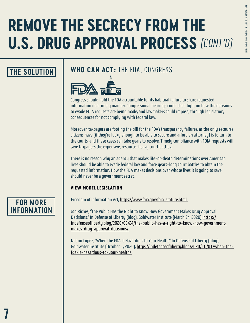# **REMOVE THE SECRECY FROM THE U.S. DRUG APPROVAL PROCESS** *(CONT'D)*

# JNLEASHING INNOVATION IN AMERICAN HEALTHCARE UNLEASHING INNOVATION IN AMERICAN HEALTHCARE

### **THE SOLUTION**

### **WHO CAN ACT:** THE FDA, CONGRESS



Congress should hold the FDA accountable for its habitual failure to share requested information in a timely manner. Congressional hearings could shed light on how the decisions to evade FOIA requests are being made, and lawmakers could impose, through legislation, consequences for not complying with federal law.

Moreover, taxpayers are footing the bill for the FDA's transparency failures, as the only recourse citizens have (if they're lucky enough to be able to secure and afford an attorney) is to turn to the courts, and these cases can take years to resolve. Timely compliance with FOIA requests will save taxpayers the expensive, resource-heavy court battles.

There is no reason why an agency that makes life-or-death determinations over American lives should be able to evade federal law and force years-long court battles to obtain the requested information. How the FDA makes decisions over whose lives it is going to save should never be a government secret.

#### [VIEW MODEL LEGISLATION](#page-19-0)

Freedom of Information Act, https://www.foia.gov/foia-statute.html

Jon Riches, "The Public Has the Right to Know How Government Makes Drug Approval Decisions," In Defense of Liberty (blog), Goldwater Institute (March 24, 2020), https:// indefenseofliberty.blog/2020/03/24/the-public-has-a-right-to-know-how-governmentmakes-drug-approval-decisions/

Naomi Lopez, "When the FDA Is Hazardous to Your Health," In Defense of Liberty (blog), Goldwater Institute (October 1, 2020), https://indefenseofliberty.blog/2020/10/01/when-thefda-is-hazardous-to-your-health/

### **FOR MORE INFORMATION**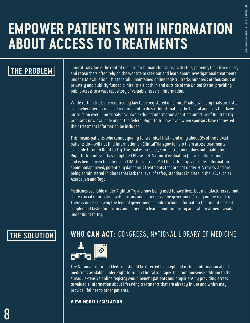# <span id="page-7-0"></span>**EMPOWER PATIENTS WITH INFORMATION ABOUT ACCESS TO TREATMENTS**

### **THE PROBLEM**

ClinicalTrials.gov is the central registry for human clinical trials. Doctors, patients, their loved ones, and researchers often rely on the website to seek out and learn about investigational treatments under FDA evaluation. This federally maintained online registry tracks hundreds of thousands of privately and publicly funded clinical trials both in and outside of the United States, providing public access to a vast repository of valuable research information.

While certain trials are required by law to be registered on ClinicalTrials.gov, many trials are listed even when there is no legal requirement to do so. Unfortunately, the federal agencies that have jurisdiction over ClinicalTrials.gov have excluded information about manufacturers' Right to Try programs now available under the federal Right to Try law, even when sponsors have requested their treatment information be included.

This means patients who cannot qualify for a clinical trial—and only about 3% of the sickest patients do—will not find information on ClinicalTrials.gov to help them access treatments available through Right to Try. This makes no sense, since a treatment does not qualify for Right to Try unless it has completed Phase 1 FDA clinical evaluation (basic safety testing) and is being given to patients in FDA clinical trials. Yet ClinicalTrials.gov includes information about nonapproved, potentially dangerous treatments that are not under FDA review and are being administered in places that lack the level of safety standards in place in the U.S., such as Azerbaijan and Togo.

Medicines available under Right to Try are now being used to save lives, but manufacturers cannot share crucial information with doctors and patients via the government's only online registry. There is no reason why the federal government should exclude information that might make it simpler and faster for doctors and patients to learn about promising and safe treatments available under Right to Try.

## **THE SOLUTION WHO CAN ACT:** CONGRESS, NATIONAL LIBRARY OF MEDICINE



The National Library of Medicine should be directed to accept and include information about medicines available under Right to Try on ClinicalTrials.gov. This commonsense addition to the already extensive online registry would benefit patients and physicians by providing access to valuable information about lifesaving treatments that are already in use and which may provide lifelines to other patients.

#### [VIEW MODEL LEGISLATION](#page-20-0)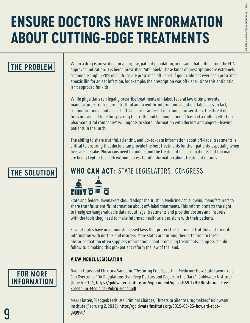# <span id="page-8-0"></span>**ENSURE DOCTORS HAVE INFORMATION ABOUT CUTTING-EDGE TREATMENTS**

### **THE PROBLEM**

When a drug is prescribed for a purpose, patient population, or dosage that differs from the FDAapproved indication, it is being prescribed "off-label." These kinds of prescriptions are extremely common: Roughly 20% of all drugs are prescribed off-label. If your child has ever been prescribed amoxicillin for an ear infection, for example, the prescription was off-label, since this antibiotic isn't approved for kids.

While physicians can legally prescribe treatments off-label, federal law often prevents manufacturers from sharing truthful and scientific information about off-label uses. In fact, communicating about a legal, off-label use can result in criminal prosecution. The threat of fines or even jail time for speaking the truth (and helping patients) has had a chilling effect on pharmaceutical companies' willingness to share information with doctors and payers—leaving patients in the lurch.

The ability to share truthful, scientific, and up-to-date information about off-label treatments is critical to ensuring that doctors can provide the best treatments for their patients, especially when lives are at stake. Physicians need to understand the treatment needs of patients, but too many are being kept in the dark without access to full information about treatment options.

# **THE SOLUTION WHO CAN ACT:** STATE LEGISLATORS, CONGRESS



State and federal lawmakers should adopt the Truth in Medicine Act, allowing manufacturers to share truthful scientific information about off-label treatments. This reform protects the right to freely exchange valuable data about legal treatments and provides doctors and insurers with the tools they need to make informed healthcare decisions with their patients.

Several states have unanimously passed laws that protect the sharing of truthful and scientific information with doctors and insurers. More states are turning their attention to these obstacles that too often suppress information about promising treatments. Congress should follow suit, making this pro-patient reform the law of the land.

#### [VIEW MODEL LEGISLATION](#page-21-0)

## **FOR MORE INFORMATION**

Naomi Lopez and Christina Sandefur, "Restoring Free Speech in Medicine: How State Lawmakers Can Overcome FDA Regulations that Keep Doctors and Payers in the Dark," Goldwater Institute (June 6, 2017), https://goldwaterinstitute.org/wp-content/uploads/2017/06/Restoring-Free-Speech-in-Medicine-Policy-Paper.pdf

Mark Flatten, "Gagged: Feds Use Criminal Charges, Threats to Silence Drugmakers," Goldwater Institute (February 2, 2019), https://goldwaterinstitute.org/2019-02-26-howard-rootgagged/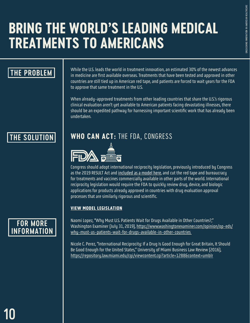# <span id="page-9-0"></span>**BRING THE WORLD'S LEADING MEDICAL TREATMENTS TO AMERICANS**

# **THE PROBLEM**

While the U.S. leads the world in treatment innovation, an estimated 30% of the newest advances in medicine are first available overseas. Treatments that have been tested and approved in other countries are still tied up in American red tape, and patients are forced to wait years for the FDA to approve that same treatment in the U.S.

When already-approved treatments from other leading countries that share the U.S.'s rigorous clinical evaluation aren't yet available to American patients facing devastating illnesses, there should be an expedited pathway for harnessing important scientific work that has already been undertaken.

# **THE SOLUTION WHO CAN ACT:** THE FDA, CONGRESS



Congress should adopt international reciprocity legislation, previously introduced by Congress as the 2019 RESULT Act and included as a model here, and cut the red tape and bureaucracy for treatments and vaccines commercially available in other parts of the world. International reciprocity legislation would require the FDA to quickly review drug, device, and biologic applications for products already approved in countries with drug evaluation approval processes that are similarly rigorous and scientific.

#### [VIEW MODEL LEGISLATION](#page-22-0)

### **FOR MORE INFORMATION**

Naomi Lopez, "Why Must U.S. Patients Wait for Drugs Available in Other Countries?," Washington Examiner (July 31, 2019), https://www.washingtonexaminer.com/opinion/op-eds/ why-must-us-patients-wait-for-drugs-available-in-other-countries

Nicole C. Perez, "International Reciprocity: If a Drug Is Good Enough for Great Britain, It Should Be Good Enough for the United States," University of Miami Business Law Review (2016), https://repository.law.miami.edu/cgi/viewcontent.cgi?article=1288&context=umblr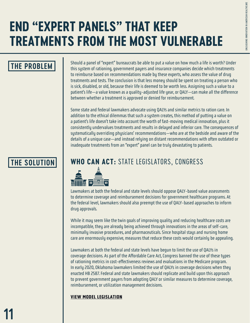# <span id="page-10-0"></span>**END "EXPERT PANELS" THAT KEEP TREATMENTS FROM THE MOST VULNERABLE**

## **THE PROBLEM**

Should a panel of "expert" bureaucrats be able to put a value on how much a life is worth? Under this system of rationing, government payers and insurance companies decide which treatments to reimburse based on recommendations made by these experts, who assess the value of drug treatments and tests. The conclusion is that less money should be spent on treating a person who is sick, disabled, or old, because their life is deemed to be worth less. Assigning such a value to a patient's life—a value known as a quality-adjusted life year, or QALY—can make all the difference between whether a treatment is approved or denied for reimbursement.

Some state and federal lawmakers advocate using QALYs and similar metrics to ration care. In addition to the ethical dilemmas that such a system creates, this method of putting a value on a patient's life doesn't take into account the worth of fast-moving medical innovation, plus it consistently undervalues treatments and results in delayed and inferior care. The consequences of systematically overriding physicians' recommendations—who are at the bedside and aware of the details of a unique case—and instead relying on distant recommendations with often outdated or inadequate treatments from an "expert" panel can be truly devastating to patients.

## **THE SOLUTION WHO CAN ACT:** STATE LEGISLATORS, CONGRESS



Lawmakers at both the federal and state levels should oppose QALY-based value assessments to determine coverage and reimbursement decisions for government healthcare programs. At the federal level, lawmakers should also preempt the use of QALY-based approaches to inform drug approvals.

While it may seem like the twin goals of improving quality and reducing healthcare costs are incompatible, they are already being achieved through innovations in the areas of self-care, minimally invasive procedures, and pharmaceuticals. Since hospital stays and nursing home care are enormously expensive, measures that reduce these costs would certainly be appealing.

Lawmakers at both the federal and state levels have begun to limit the use of QALYs in coverage decisions. As part of the Affordable Care Act, Congress banned the use of these types of rationing metrics in cost-effectiveness reviews and evaluations in the Medicare program. In early 2020, Oklahoma lawmakers limited the use of QALYs in coverage decisions when they enacted HB 2587. Federal and state lawmakers should replicate and build upon this approach to prevent government payers from adopting QALY or similar measures to determine coverage, reimbursement, or utilization management decisions.

#### [VIEW MODEL LEGISLATION](#page-28-0)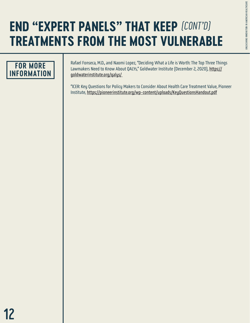# **END "EXPERT PANELS" THAT KEEP**  *(CONT'D)***TREATMENTS FROM THE MOST VULNERABLE**



Rafael Fonseca, M.D., and Naomi Lopez, "Deciding What a Life is Worth: The Top Three Things Lawmakers Need to Know About QALYs," Goldwater Institute (December 2, 2020), https:// goldwaterinstitute.org/qalys/

"ICER: Key Questions for Policy Makers to Consider About Health Care Treatment Value, Pioneer Institute, https://pioneerinstitute.org/wp-content/uploads/KeyQuestionsHandout.pdf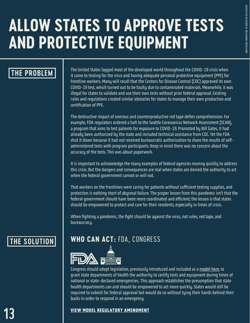# <span id="page-12-0"></span>**ALLOW STATES TO APPROVE TESTS AND PROTECTIVE EQUIPMENT**

### **THE PROBLEM**

The United States lagged most of the developed world throughout the COVID-19 crisis when it came to testing for the virus and having adequate personal protective equipment (PPE) for frontline workers. Many will recall that the Centers for Disease Control (CDC) approved its own COVID-19 test, which turned out to be faulty due to contaminated materials. Meanwhile, it was illegal for states to validate and use their own tests without prior federal approval. Existing rules and regulations created similar obstacles for states to manage their own production and certification of PPE.

The destructive impact of onerous and counterproductive red tape defies comprehension. For example, FDA regulators ordered a halt to the Seattle Coronavirus Network Assessment (SCAN), a program that aims to test patients for exposure to COVID-19. Promoted by Bill Gates, it had already been authorized by the state and included technical assistance from CDC. Yet the FDA shut it down because it had not received bureaucratic authorization to share the results of selfadministered tests with program participants. Keep in mind there was no concern about the accuracy of the tests. This was about paperwork.

It is important to acknowledge the many examples of federal agencies moving quickly to address this crisis. But the dangers and consequences are real when states are denied the authority to act when the federal government cannot or will not.

That workers on the frontlines were caring for patients without sufficient testing supplies, and protection is nothing short of abysmal failure. The proper lesson from this pandemic isn't that the federal government should have been more coordinated and efficient; the lesson is that states should be empowered to protect and care for their residents, especially in times of crisis.

When fighting a pandemic, the fight should be against the virus, not rules, red tape, and bureaucracy.

# **THE SOLUTION WHO CAN ACT:** FDA, CONGRESS



Congress should adopt legislation, previously introduced and included as a model here, to grant state departments of health the authority to certify tests and equipment during times of national or state-declared emergencies.. This approach establishes the presumption that state health departments can and should be empowered to act more quickly. States would still be required to submit for federal approval but would do so without tying their hands behind their backs in order to respond in an emergency.

#### [VIEW MODEL REGULATORY AMENDMENT](#page-29-0)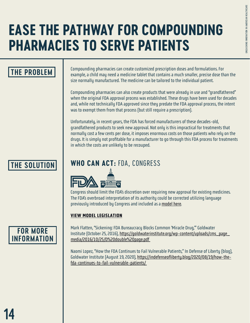# <span id="page-13-0"></span>**EASE THE PATHWAY FOR COMPOUNDING PHARMACIES TO SERVE PATIENTS**

## **THE PROBLEM**

Compounding pharmacies can create customized prescription doses and formulations. For example, a child may need a medicine tablet that contains a much smaller, precise dose than the size normally manufactured. The medicine can be tailored to the individual patient.

Compounding pharmacies can also create products that were already in use and "grandfathered" when the original FDA approval process was established. These drugs have been used for decades and, while not technically FDA approved since they predate the FDA approval process, the intent was to exempt them from that process (but still require a prescription).

Unfortunately, in recent years, the FDA has forced manufacturers of these decades-old, grandfathered products to seek new approval. Not only is this impractical for treatments that normally cost a few cents per dose, it imposes enormous costs on those patients who rely on the drugs. It is simply not profitable for a manufacturer to go through this FDA process for treatments in which the costs are unlikely to be recouped.

# **THE SOLUTION WHO CAN ACT:** FDA, CONGRESS



Congress should limit the FDA's discretion over requiring new approval for existing medicines. The FDA's overbroad interpretation of its authority could be corrected utilizing language previously introduced by Congress and included as a model here.

#### [VIEW MODEL LEGISLATION](#page-31-0)

### **FOR MORE INFORMATION**

Mark Flatten, "Sickening: FDA Bureaucracy Blocks Common 'Miracle Drug,'" Goldwater Institute (October 25, 2016), https://goldwaterinstitute.org/wp-content/uploads/cms\_page\_ media/2016/10/25/D%20double%20page.pdf

Naomi Lopez, "How the FDA Continues to Fail Vulnerable Patients," In Defense of Liberty (blog), Goldwater Institute (August 19, 2020), https://indefenseofliberty.blog/2020/08/19/how-thefda-continues-to-fail-vulnerable-patients/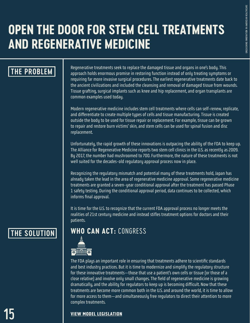# <span id="page-14-0"></span>**OPEN THE DOOR FOR STEM CELL TREATMENTS AND REGENERATIVE MEDICINE**

### **THE PROBLEM**

Regenerative treatments seek to replace the damaged tissue and organs in one's body. This approach holds enormous promise in restoring function instead of only treating symptoms or requiring far more invasive surgical procedures. The earliest regenerative treatments date back to the ancient civilizations and included the cleansing and removal of damaged tissue from wounds. Tissue grafting, surgical implants such as knee and hip replacement, and organ transplants are common examples used today.

Modern regenerative medicine includes stem cell treatments where cells can self-renew, replicate, and differentiate to create multiple types of cells and tissue manufacturing. Tissue is created outside the body to be used for tissue repair or replacement. For example, tissue can be grown to repair and restore burn victims' skin, and stem cells can be used for spinal fusion and disc replacement.

Unfortunately, the rapid growth of these innovations is outpacing the ability of the FDA to keep up. The Alliance for Regenerative Medicine reports two stem cell clinics in the U.S. as recently as 2009. By 2017, the number had mushroomed to 700. Furthermore, the nature of these treatments is not well suited for the decades-old regulatory approval process now in place.

Recognizing the regulatory mismatch and potential many of these treatments hold, Japan has already taken the lead in the area of regenerative medicine approval. Some regenerative medicine treatments are granted a seven-year conditional approval after the treatment has passed Phase 1 safety testing. During the conditional approval period, data continues to be collected, which informs final approval.

It is time for the U.S. to recognize that the current FDA approval process no longer meets the realities of 21st century medicine and instead stifles treatment options for doctors and their patients.

# **THE SOLUTION WHO CAN ACT:** CONGRESS



The FDA plays an important role in ensuring that treatments adhere to scientific standards and best industry practices. But it is time to modernize and simplify the regulatory structure for these innovative treatments—those that use a patient's own cells or tissue (or those of a close relative) and involve only small changes. The field of regenerative medicine is growing dramatically, and the ability for regulators to keep up is becoming difficult. Now that these treatments are become more common both in the U.S. and around the world, it is time to allow for more access to them—and simultaneously free regulators to direct their attention to more complex treatments.

#### [VIEW MODEL LEGISLATION](#page-33-0)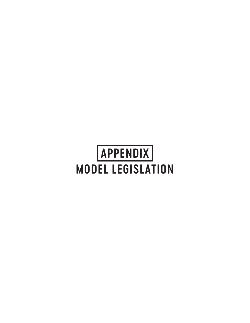# <span id="page-15-0"></span>**APPENDIX MODEL LEGISLATION**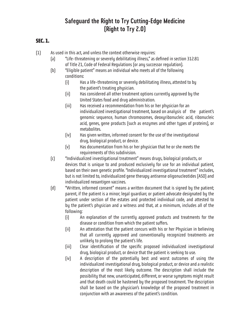### **Safeguard the Right to Try Cutting-Edge Medicine (Right to Try 2.0)**

#### <span id="page-16-0"></span>**SEC. 1.**

- (1) As used in this act, and unless the context otherwise requires:
	- (a) "Life-threatening or severely debilitating illness," as defined in section 312.81 of Title 21, Code of Federal Regulations (or any successor regulation).
	- (b) "Eligible patient" means an individual who meets all of the following conditions:
		- (i) Has a life-threatening or severely debilitating illness, attested to by the patient's treating physician.
		- (ii) Has considered all other treatment options currently approved by the United States food and drug administration.
		- (iii) Has received a recommendation from his or her physician for an individualized investigational treatment, based on analysis of the patient's genomic sequence, human chromosomes, deoxyribonucleic acid, ribonucleic acid, genes, gene products (such as enzymes and other types of proteins), or metabolites.
		- (iv) Has given written, informed consent for the use of the investigational drug, biological product, or device.
		- (v) Has documentation from his or her physician that he or she meets the requirements of this subdivision.
	- (c) "Individualized investigational treatment" means drugs, biological products, or devices that is unique to and produced exclusively for use for an individual patient, based on their own genetic profile. "Individualized investigational treatment" includes, but is not limited to, individualized gene therapy antisense oligonucleotides (ASO) and individualized neoantigen vaccines.
	- (d) "Written, informed consent" means a written document that is signed by the patient; parent, if the patient is a minor; legal guardian; or patient advocate designated by the patient under section of the estates and protected individual code, and attested to by the patient's physician and a witness and that, at a minimum, includes all of the following:
		- (i) An explanation of the currently approved products and treatments for the disease or condition from which the patient suffers.
		- (ii) An attestation that the patient concurs with his or her Physician in believing that all currently approved and conventionally recognized treatments are unlikely to prolong the patient's life.
		- (iii) Clear identification of the specific proposed individualized investigational drug, biological product, or device that the patient is seeking to use.
		- (iv) A description of the potentially best and worst outcomes of using the individualized investigational drug, biological product, or device and a realistic description of the most likely outcome. The description shall include the possibility that new, unanticipated, different, or worse symptoms might result and that death could be hastened by the proposed treatment. The description shall be based on the physician's knowledge of the proposed treatment in conjunction with an awareness of the patient's condition.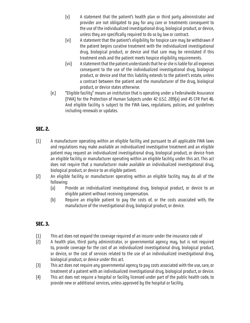- (v) A statement that the patient's health plan or third party administrator and provider are not obligated to pay for any care or treatments consequent to the use of the individualized investigational drug, biological product, or device, unless they are specifically required to do so by law or contract.
- (vi) A statement that the patient's eligibility for hospice care may be withdrawn if the patient begins curative treatment with the individualized investigational drug, biological product, or device and that care may be reinstated if this treatment ends and the patient meets hospice eligibility requirements.
- (vii) A statement that the patient understands that he or she is liable for all expenses consequent to the use of the individualized investigational drug, biological product, or device and that this liability extends to the patient's estate, unless a contract between the patient and the manufacturer of the drug, biological product, or device states otherwise.
- (e.) "Eligible facility" means an institution that is operating under a Federalwide Assurance (FWA) for the Protection of Human Subjects under 42 U.S.C. 289(a) and 45 CFR Part 46. And eligible facility is subject to the FWA laws, regulations, policies, and guidelines including renewals or updates.

#### **SEC. 2.**

- (1) A manufacturer operating within an eligible facility and pursuant to all applicable FWA laws and regulations may make available an individualized investigative treatment and an eligible patient may request an individualized investigational drug, biological product, or device from an eligible facility or manufacturer operating within an eligible facility under this act. This act does not require that a manufacturer make available an individualized investigational drug, biological product, or device to an eligible patient.
- (2) An eligible facility or manufacturer operating within an eligible facility may do all of the following:
	- (a) Provide an individualized investigational drug, biological product, or device to an eligible patient without receiving compensation.
	- (b) Require an eligible patient to pay the costs of, or the costs associated with, the manufacture of the investigational drug, biological product, or device.

#### **SEC. 3.**

- (1) This act does not expand the coverage required of an insurer under the insurance code of
- (2) A health plan, third party administrator, or governmental agency may, but is not required to, provide coverage for the cost of an individualized investigational drug, biological product, or device, or the cost of services related to the use of an individualized investigational drug, biological product, or device under this act.
- (3) This act does not require any governmental agency to pay costs associated with the use, care, or treatment of a patient with an individualized investigational drug, biological product, or device.
- (4) This act does not require a hospital or facility licensed under part of the public health code, to provide new or additional services, unless approved by the hospital or facility.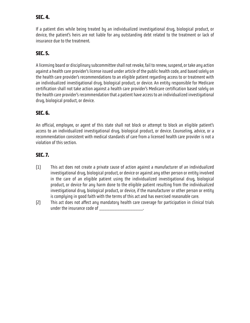#### **SEC. 4.**

If a patient dies while being treated by an individualized investigational drug, biological product, or device, the patient's heirs are not liable for any outstanding debt related to the treatment or lack of insurance due to the treatment.

#### **SEC. 5.**

A licensing board or disciplinary subcommittee shall not revoke, fail to renew, suspend, or take any action against a health care provider's license issued under article of the public health code, and based solely on the health care provider's recommendations to an eligible patient regarding access to or treatment with an individualized investigational drug, biological product, or device. An entity responsible for Medicare certification shall not take action against a health care provider's Medicare certification based solely on the health care provider's recommendation that a patient have access to an individualized investigational drug, biological product, or device.

#### **SEC. 6.**

An official, employee, or agent of this state shall not block or attempt to block an eligible patient's access to an individualized investigational drug, biological product, or device. Counseling, advice, or a recommendation consistent with medical standards of care from a licensed health care provider is not a violation of this section.

#### **SEC. 7.**

- (1) This act does not create a private cause of action against a manufacturer of an individualized investigational drug, biological product, or device or against any other person or entity involved in the care of an eligible patient using the individualized investigational drug, biological product, or device for any harm done to the eligible patient resulting from the individualized investigational drug, biological product, or device, if the manufacturer or other person or entity is complying in good faith with the terms of this act and has exercised reasonable care.
- (2) This act does not affect any mandatory health care coverage for participation in clinical trials under the insurance code of \_\_\_\_\_\_\_\_\_\_\_\_\_\_\_\_\_\_\_\_\_\_\_.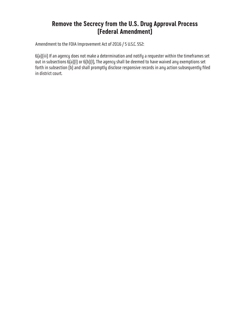### **Remove the Secrecy from the U.S. Drug Approval Process (Federal Amendment)**

<span id="page-19-0"></span>Amendment to the FOIA Improvement Act of 2016 / 5 U.S.C. 552:

6(a)(iii) If an agency does not make a determination and notify a requester within the timeframes set out in subsections 6(a)(I) or 6(b)(I), The agency shall be deemed to have waived any exemptions set forth in subsection (b) and shall promptly disclose responsive records in any action subsequently filed in district court.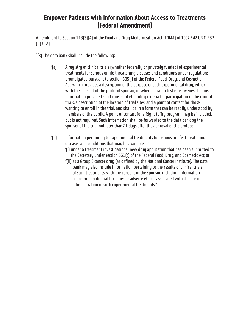### <span id="page-20-0"></span>**Empower Patients with Information About Access to Treatments (Federal Amendment)**

Amendment to Section 113(3)(A) of the Food and Drug Modernization Act (FDMA) of 1997 / 42 U.S.C. 282 (i)(3)(A):

''(3) The data bank shall include the following:

- ''(a) A registry of clinical trials (whether federally or privately funded) of experimental treatments for serious or life threatening diseases and conditions under regulations promulgated pursuant to section 505(i) of the Federal Food, Drug, and Cosmetic Act, which provides a description of the purpose of each experimental drug, either with the consent of the protocol sponsor, or when a trial to test effectiveness begins. Information provided shall consist of eligibility criteria for participation in the clinical trials, a description of the location of trial sites, and a point of contact for those wanting to enroll in the trial, and shall be in a form that can be readily understood by members of the public. A point of contact for a Right to Try program may be included, but is not required. Such information shall be forwarded to the data bank by the sponsor of the trial not later than 21 days after the approval of the protocol.
- ''(b) Information pertaining to experimental treatments for serious or life-threatening diseases and conditions that may be available— '
	- '(i) under a treatment investigational new drug application that has been submitted to the Secretary under section 561(c) of the Federal Food, Drug, and Cosmetic Act; or
	- "(ii) as a Group C cancer drug (as defined by the National Cancer Institute). The data bank may also include information pertaining to the results of clinical trials of such treatments, with the consent of the sponsor, including information concerning potential toxicities or adverse effects associated with the use or administration of such experimental treatments."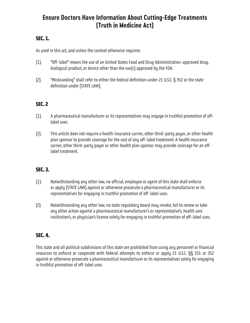### <span id="page-21-0"></span>**Ensure Doctors Have Information About Cutting-Edge Treatments (Truth in Medicine Act)**

#### **SEC. 1.**

As used in this act, and unless the context otherwise requires:

- (1). "Off-label" means the use of an United States Food and Drug Administration-approved drug, biological product, or device other than the use(s) approved by the FDA.
- (2). "Misbranding" shall refer to either the federal definition under 21 U.S.C. § 352 or the state definition under [STATE LAW].

#### **SEC. 2**

- (1). A pharmaceutical manufacturer or its representatives may engage in truthful promotion of offlabel uses.
- (2). This article does not require a health insurance carrier, other third-party payer, or other health plan sponsor to provide coverage for the cost of any off-label treatment. A health insurance carrier, other third-party payer or other health plan sponsor may provide coverage for an offlabel treatment.

#### **SEC. 3.**

- (1). Notwithstanding any other law, no official, employee or agent of this state shall enforce or apply [STATE LAW] against or otherwise prosecute a pharmaceutical manufacturer or its representatives for engaging in truthful promotion of off-label uses.
- (2). Notwithstanding any other law, no state regulatory board may revoke, fail to renew or take any other action against a pharmaceutical manufacturer's or representative's, health care institution's, or physician's license solely for engaging in truthful promotion of off-label uses.

#### **SEC. 4.**

This state and all political subdivisions of this state are prohibited from using any personnel or financial resources to enforce or cooperate with federal attempts to enforce or apply 21 U.S.C. §§ 331 or 352 against or otherwise prosecute a pharmaceutical manufacturer or its representatives solely for engaging in truthful promotion of off-label uses.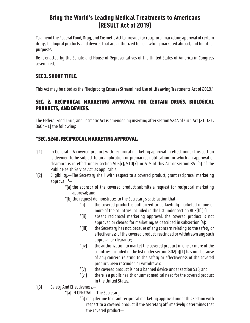### **Bring the World's Leading Medical Treatments to Americans (RESULT Act of 2019)**

<span id="page-22-0"></span>To amend the Federal Food, Drug, and Cosmetic Act to provide for reciprocal marketing approval of certain drugs, biological products, and devices that are authorized to be lawfully marketed abroad, and for other purposes.

Be it enacted by the Senate and House of Representatives of the United States of America in Congress assembled,

#### **SEC 1. SHORT TITLE.**

This Act may be cited as the "Reciprocity Ensures Streamlined Use of Lifesaving Treatments Act of 2019."

#### **SEC. 2. RECIPROCAL MARKETING APPROVAL FOR CERTAIN DRUGS, BIOLOGICAL PRODUCTS, AND DEVICES.**

The Federal Food, Drug, and Cosmetic Act is amended by inserting after section 524A of such Act (21 U.S.C. 360n–1) the following:

#### **"SEC. 524B. RECIPROCAL MARKETING APPROVAL.**

- " $(1)$  In General.—A covered product with reciprocal marketing approval in effect under this section is deemed to be subject to an application or premarket notification for which an approval or clearance is in effect under section 505(c), 510(k), or 515 of this Act or section 351(a) of the Public Health Service Act, as applicable.
- "(2) Eligibility.—The Secretary shall, with respect to a covered product, grant reciprocal marketing approval if—
	- "(a) the sponsor of the covered product submits a request for reciprocal marketing approval; and
	- "(b) the request demonstrates to the Secretary's satisfaction that—
		- "(i) the covered product is authorized to be lawfully marketed in one or more of the countries included in the list under section 802(b)(1);
		- "(ii) absent reciprocal marketing approval, the covered product is not approved or cleared for marketing, as described in subsection (a);
		- "(iii) the Secretary has not, because of any concern relating to the safety or effectiveness of the covered product, rescinded or withdrawn any such approval or clearance;
		- "(iv) the authorization to market the covered product in one or more of the countries included in the list under section 802(b)(1) has not, because of any concern relating to the safety or effectiveness of the covered product, been rescinded or withdrawn;
		- "(v) the covered product is not a banned device under section 516; and
		- "(vi) there is a public health or unmet medical need for the covered product in the United States.
- "(3) Safety And Effectiveness.—
	- "(a) IN GENERAL.—The Secretary—
		- "(i) may decline to grant reciprocal marketing approval under this section with respect to a covered product if the Secretary affirmatively determines that the covered product—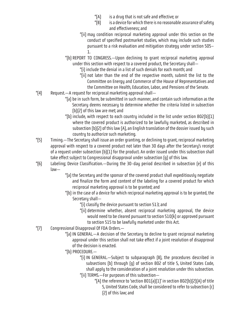- "(A) is a drug that is not safe and effective; or
- "(B) is a device for which there is no reasonable assurance of safety and effectiveness; and
- "(ii) may condition reciprocal marketing approval under this section on the conduct of specified postmarket studies, which may include such studies pursuant to a risk evaluation and mitigation strategy under section 505– 1.
- "(b) REPORT TO CONGRESS.—Upon declining to grant reciprocal marketing approval under this section with respect to a covered product, the Secretary shall—
	- "(i) include the denial in a list of such denials for each month; and
	- "(ii) not later than the end of the respective month, submit the list to the Committee on Energy and Commerce of the House of Representatives and the Committee on Health, Education, Labor, and Pensions of the Senate.
- "(4) Request.—A request for reciprocal marketing approval shall—
	- "(a) be in such form, be submitted in such manner, and contain such information as the Secretary deems necessary to determine whether the criteria listed in subsection (b)(2) of this law are met; and
	- "(b) include, with respect to each country included in the list under section 802(b)(1) where the covered product is authorized to be lawfully marketed, as described in subsection (b)(2) of this law (A), an English translation of the dossier issued by such country to authorize such marketing.
- "(5) Timing.—The Secretary shall issue an order granting, or declining to grant, reciprocal marketing approval with respect to a covered product not later than 30 days after the Secretary's receipt of a request under subsection (b)(1) for the product. An order issued under this subsection shall take effect subject to Congressional disapproval under subsection (g) of this law.
- "(6) Labeling; Device Classification.—During the 30-day period described in subsection (e) of this law—
	- "(a) the Secretary and the sponsor of the covered product shall expeditiously negotiate and finalize the form and content of the labeling for a covered product for which reciprocal marketing approval is to be granted; and
	- "(b) in the case of a device for which reciprocal marketing approval is to be granted, the Secretary shall—
		- "(i) classify the device pursuant to section 513; and
		- "(ii) determine whether, absent reciprocal marketing approval, the device would need to be cleared pursuant to section 510(k) or approved pursuant to section 515 to be lawfully marketed under this Act.
- "(7) Congressional Disapproval Of FDA Orders.—
	- "(a) IN GENERAL.—A decision of the Secretary to decline to grant reciprocal marketing approval under this section shall not take effect if a joint resolution of disapproval of the decision is enacted.
	- "(b) PROCEDURE.—
		- "(i) IN GENERAL.—Subject to subparagraph (B), the procedures described in subsections (b) through (g) of section 802 of title 5, United States Code, shall apply to the consideration of a joint resolution under this subsection. "(ii) TERMS.—For purposes of this subsection—
			- "(A) the reference to 'section 801(a)(1)' in section 802(b)(2)(A) of title 5, United States Code, shall be considered to refer to subsection (c) (2) of this law; and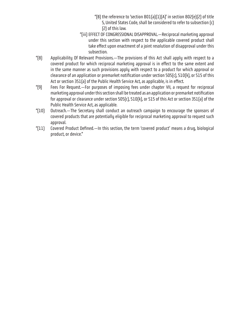- "(B) the reference to 'section 801(a)(1)(A)' in section 802(e)(2) of title 5, United States Code, shall be considered to refer to subsection (c) (2) of this law.
- "(iii) EFFECT OF CONGRESSIONAL DISAPPROVAL.—Reciprocal marketing approval under this section with respect to the applicable covered product shall take effect upon enactment of a joint resolution of disapproval under this subsection.
- "(8) Applicability Of Relevant Provisions.—The provisions of this Act shall apply with respect to a covered product for which reciprocal marketing approval is in effect to the same extent and in the same manner as such provisions apply with respect to a product for which approval or clearance of an application or premarket notification under section 505(c), 510(k), or 515 of this Act or section 351(a) of the Public Health Service Act, as applicable, is in effect.
- "(9) Fees For Request.—For purposes of imposing fees under chapter VII, a request for reciprocal marketing approval under this section shall be treated as an application or premarket notification for approval or clearance under section 505(c), 510(k), or 515 of this Act or section 351(a) of the Public Health Service Act, as applicable.
- "(10) Outreach.—The Secretary shall conduct an outreach campaign to encourage the sponsors of covered products that are potentially eligible for reciprocal marketing approval to request such approval.
- "(11) Covered Product Defined.—In this section, the term 'covered product' means a drug, biological product, or device."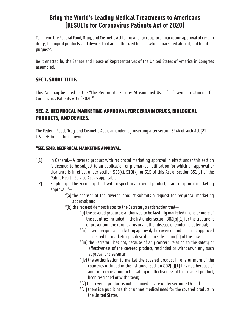### **Bring the World's Leading Medical Treatments to Americans (RESULTs for Coronavirus Patients Act of 2020)**

To amend the Federal Food, Drug, and Cosmetic Act to provide for reciprocal marketing approval of certain drugs, biological products, and devices that are authorized to be lawfully marketed abroad, and for other purposes.

Be it enacted by the Senate and House of Representatives of the United States of America in Congress assembled,

#### **SEC 1. SHORT TITLE.**

This Act may be cited as the "The Reciprocity Ensures Streamlined Use of Lifesaving Treatments for Coronavirus Patients Act of 2020."

#### **SEC. 2. RECIPROCAL MARKETING APPROVAL FOR CERTAIN DRUGS, BIOLOGICAL PRODUCTS, AND DEVICES.**

The Federal Food, Drug, and Cosmetic Act is amended by inserting after section 524A of such Act (21 U.S.C. 360n–1) the following:

#### **"SEC. 524B. RECIPROCAL MARKETING APPROVAL.**

- " $(1)$  In General.—A covered product with reciprocal marketing approval in effect under this section is deemed to be subject to an application or premarket notification for which an approval or clearance is in effect under section 505(c), 510(k), or 515 of this Act or section 351(a) of the Public Health Service Act, as applicable.
- "(2) Eligibility.—The Secretary shall, with respect to a covered product, grant reciprocal marketing approval if—
	- "(a) the sponsor of the covered product submits a request for reciprocal marketing approval; and
	- "(b) the request demonstrates to the Secretary's satisfaction that—
		- "(i) the covered product is authorized to be lawfully marketed in one or more of the countries included in the list under section 802(b)(1) for the treatment or prevention the coronavirus or another disease of epidemic potential;
		- "(ii) absent reciprocal marketing approval, the covered product is not approved or cleared for marketing, as described in subsection (a) of this law;
		- "(iii) the Secretary has not, because of any concern relating to the safety or effectiveness of the covered product, rescinded or withdrawn any such approval or clearance;
		- "(iv) the authorization to market the covered product in one or more of the countries included in the list under section 802(b)(1) has not, because of any concern relating to the safety or effectiveness of the covered product, been rescinded or withdrawn;
		- "(v) the covered product is not a banned device under section 516; and
		- "(vi) there is a public health or unmet medical need for the covered product in the United States.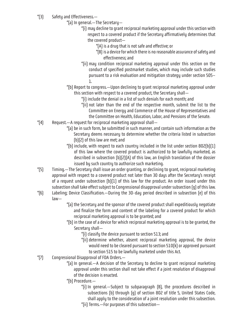- "(3) Safety and Effectiveness.—
	- "(a) In general.—The Secretary—
		- "(i) may decline to grant reciprocal marketing approval under this section with respect to a covered product if the Secretary affirmatively determines that the covered product—
			- "(A) is a drug that is not safe and effective; or
			- "(B) is a device for which there is no reasonable assurance of safety and effectiveness; and
		- "(ii) may condition reciprocal marketing approval under this section on the conduct of specified postmarket studies, which may include such studies pursuant to a risk evaluation and mitigation strategy under section 505– 1.
	- "(b) Report to congress.—Upon declining to grant reciprocal marketing approval under this section with respect to a covered product, the Secretary shall—
		- "(i) include the denial in a list of such denials for each month; and
		- "(ii) not later than the end of the respective month, submit the list to the Committee on Energy and Commerce of the House of Representatives and the Committee on Health, Education, Labor, and Pensions of the Senate.
- "(4) Request.—A request for reciprocal marketing approval shall—
	- "(a) be in such form, be submitted in such manner, and contain such information as the Secretary deems necessary to determine whether the criteria listed in subsection (b)(2) of this law are met; and
	- "(b) include, with respect to each country included in the list under section 802(b)(1) of this law where the covered product is authorized to be lawfully marketed, as described in subsection (b)(2)(A) of this law, an English translation of the dossier issued by such country to authorize such marketing.
- "(5) Timing.—The Secretary shall issue an order granting, or declining to grant, reciprocal marketing approval with respect to a covered product not later than 30 days after the Secretary's receipt of a request under subsection (b)(1) of this law for the product. An order issued under this subsection shall take effect subject to Congressional disapproval under subsection (g) of this law.
- "(6) Labeling; Device Classification.—During the 30-day period described in subsection (e) of this law—
	- "(a) the Secretary and the sponsor of the covered product shall expeditiously negotiate and finalize the form and content of the labeling for a covered product for which reciprocal marketing approval is to be granted; and
	- "(b) in the case of a device for which reciprocal marketing approval is to be granted, the Secretary shall—
		- "(i) classify the device pursuant to section 513; and
		- "(ii) determine whether, absent reciprocal marketing approval, the device would need to be cleared pursuant to section 510(k) or approved pursuant to section 515 to be lawfully marketed under this Act.
- "(7) Congressional Disapproval of FDA Orders.—
	- "(a) In general.—A decision of the Secretary to decline to grant reciprocal marketing approval under this section shall not take effect if a joint resolution of disapproval of the decision is enacted.
	- "(b) Procedure.—
		- "(i) In general.—Subject to subparagraph (B), the procedures described in subsections (b) through (g) of section 802 of title 5, United States Code, shall apply to the consideration of a joint resolution under this subsection. "(ii) Terms.—For purposes of this subsection—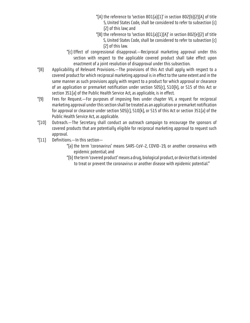- "(A) the reference to 'section 801(a)(1)' in section 802(b)(2)(A) of title 5, United States Code, shall be considered to refer to subsection (c) (2) of this law; and
- "(B) the reference to 'section  $801[a][1][A]'$  in section  $802[e][2]$  of title 5, United States Code, shall be considered to refer to subsection (c) (2) of this law.
- "(c) Effect of congressional disapproval.—Reciprocal marketing approval under this section with respect to the applicable covered product shall take effect upon enactment of a joint resolution of disapproval under this subsection.
- "(8) Applicability of Relevant Provisions.—The provisions of this Act shall apply with respect to a covered product for which reciprocal marketing approval is in effect to the same extent and in the same manner as such provisions apply with respect to a product for which approval or clearance of an application or premarket notification under section 505(c), 510(k), or 515 of this Act or section 351(a) of the Public Health Service Act, as applicable, is in effect.
- "(9) Fees for Request.—For purposes of imposing fees under chapter VII, a request for reciprocal marketing approval under this section shall be treated as an application or premarket notification for approval or clearance under section 505(c), 510(k), or 515 of this Act or section 351(a) of the Public Health Service Act, as applicable.
- "(10) Outreach.—The Secretary shall conduct an outreach campaign to encourage the sponsors of covered products that are potentially eligible for reciprocal marketing approval to request such approval.
- "(11) Definitions.—In this section—
	- "(a) the term 'coronavirus' means SARS-CoV-2, COVID-19, or another coronavirus with epidemic potential; and
	- "(b) the term 'covered product' means a drug, biological product, or device that is intended to treat or prevent the coronavirus or another disease with epidemic potential."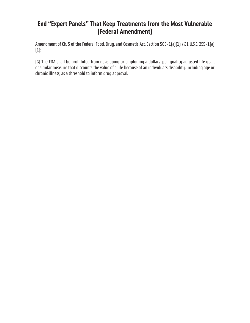### <span id="page-28-0"></span>**End "Expert Panels" That Keep Treatments from the Most Vulnerable (Federal Amendment)**

Amendment of Ch. 5 of the Federal Food, Drug, and Cosmetic Act, Section 505-1(a)(1) / 21 U.S.C. 355-1(a) (1):

(G) The FDA shall be prohibited from developing or employing a dollars-per-quality adjusted life year, or similar measure that discounts the value of a life because of an individual's disability, including age or chronic illness, as a threshold to inform drug approval.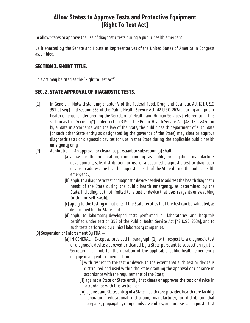#### **Allow States to Approve Tests and Protective Equipment (Right To Test Act)**

<span id="page-29-0"></span>To allow States to approve the use of diagnostic tests during a public health emergency.

Be it enacted by the Senate and House of Representatives of the United States of America in Congress assembled,

#### **SECTION 1. SHORT TITLE.**

This Act may be cited as the "Right to Test Act".

#### **SEC. 2. STATE APPROVAL OF DIAGNOSTIC TESTS.**

- (1) In General.—Notwithstanding chapter V of the Federal Food, Drug, and Cosmetic Act (21 U.S.C. 351 et seq.) and section 353 of the Public Health Service Act (42 U.S.C. 263a), during any public health emergency declared by the Secretary of Health and Human Services (referred to in this section as the "Secretary") under section 319 of the Public Health Service Act (42 U.S.C. 247d) or by a State in accordance with the law of the State, the public health department of such State (or such other State entity as designated by the governor of the State) may clear or approve diagnostic tests or diagnostic devices for use in that State during the applicable public health emergency only.
- (2) Application.—An approval or clearance pursuant to subsection (a) shall—
	- (a) allow for the preparation, compounding, assembly, propagation, manufacture, development, sale, distribution, or use of a specified diagnostic test or diagnostic device to address the health diagnostic needs of the State during the public health emergency;
	- (b) apply to a diagnostic test or diagnostic device needed to address the health diagnostic needs of the State during the public health emergency, as determined by the State, including, but not limited to, a test or device that uses reagents or swabbing (including self-swab);
	- (c) apply to the testing of patients if the State certifies that the test can be validated, as determined by the State; and
	- (d) apply to laboratory-developed tests performed by laboratories and hospitals certified under section 353 of the Public Health Service Act (42 U.S.C. 263a), and to such tests performed by clinical laboratory companies.

(3) Suspension of Enforcement By FDA.—

- (a) IN GENERAL.—Except as provided in paragraph (1), with respect to a diagnostic test or diagnostic device approved or cleared by a State pursuant to subsection (a), the Secretary may not, for the duration of the applicable public health emergency, engage in any enforcement action—
	- (i) with respect to the test or device, to the extent that such test or device is distributed and used within the State granting the approval or clearance in accordance with the requirements of the State;
	- (ii) against a State or State entity that clears or approves the test or device in accordance with this section; or
	- (iii) against any State, entity of a State, health care provider, health care facility, laboratory, educational institution, manufacturer, or distributor that prepares, propagates, compounds, assembles, or processes a diagnostic test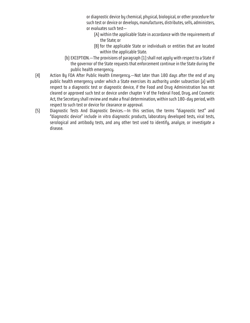or diagnostic device by chemical, physical, biological, or other procedure for such test or device or develops, manufactures, distributes, sells, administers, or evaluates such test—

- (A) within the applicable State in accordance with the requirements of the State; or
- (B) for the applicable State or individuals or entities that are located within the applicable State.
- (b) EXCEPTION.—The provisions of paragraph (1) shall not apply with respect to a State if the governor of the State requests that enforcement continue in the State during the public health emergency.
- (4) Action By FDA After Public Health Emergency.—Not later than 180 days after the end of any public health emergency under which a State exercises its authority under subsection (a) with respect to a diagnostic test or diagnostic device, if the Food and Drug Administration has not cleared or approved such test or device under chapter V of the Federal Food, Drug, and Cosmetic Act, the Secretary shall review and make a final determination, within such 180-day period, with respect to such test or device for clearance or approval.
- (5) Diagnostic Tests And Diagnostic Devices.—In this section, the terms "diagnostic test" and "diagnostic device" include in vitro diagnostic products, laboratory developed tests, viral tests, serological and antibody tests, and any other test used to identify, analyze, or investigate a disease.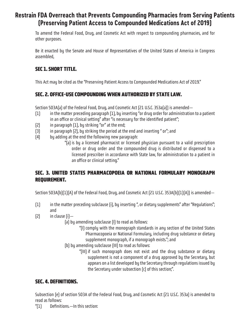### <span id="page-31-0"></span>**Restrain FDA Overreach that Prevents Compounding Pharmacies from Serving Patients (Preserving Patient Access to Compounded Medications Act of 2019)**

To amend the Federal Food, Drug, and Cosmetic Act with respect to compounding pharmacies, and for other purposes.

Be it enacted by the Senate and House of Representatives of the United States of America in Congress assembled,

#### **SEC 1. SHORT TITLE.**

This Act may be cited as the "Preserving Patient Access to Compounded Medications Act of 2019."

#### **SEC. 2. OFFICE-USE COMPOUNDING WHEN AUTHORIZED BY STATE LAW.**

Section 503A(a) of the Federal Food, Drug, and Cosmetic Act (21 U.S.C. 353a(a)) is amended—

- (1) in the matter preceding paragraph (1), by inserting "or drug order for administration to a patient in an office or clinical setting" after "is necessary for the identified patient";
- (2) in paragraph (1), by striking "or" at the end;
- (3) in paragraph (2), by striking the period at the end and inserting " or"; and
- (4) by adding at the end the following new paragraph:
	- "(a) is by a licensed pharmacist or licensed physician pursuant to a valid prescription order or drug order and the compounded drug is distributed or dispensed to a licensed prescriber in accordance with State law, for administration to a patient in an office or clinical setting."

#### **SEC. 3. UNITED STATES PHARMACOPOEIA OR NATIONAL FORMULARY MONOGRAPH REQUIREMENT.**

Section 503A(b)(1)(A) of the Federal Food, Drug, and Cosmetic Act (21 U.S.C. 353A(b)(1)(A)) is amended—

- (1) in the matter preceding subclause (i), by inserting ", or dietary supplements" after "Regulations"; and
- $[2]$  in clause  $[i]$ 
	- (a) by amending subclause (I) to read as follows:
		- "(I) comply with the monograph standards in any section of the United States Pharmacopoeia or National Formulary, including drug substance or dietary supplement monograph, if a monograph exists."; and
	- (b) by amending subclause (III) to read as follows:
		- "(III) if such monograph does not exist and the drug substance or dietary supplement is not a component of a drug approved by the Secretary, but appears on a list developed by the Secretary through regulations issued by the Secretary under subsection (c) of this section;".

#### **SEC. 4. DEFINITIONS.**

Subsection (e) of section 503A of the Federal Food, Drug, and Cosmetic Act (21 U.S.C. 353a) is amended to read as follows:

"(1) Definitions.—In this section: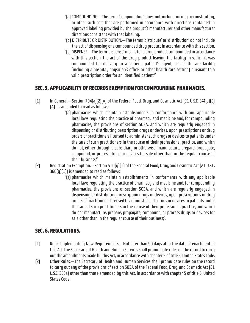- "(a) COMPOUNDING.—The term 'compounding' does not include mixing, reconstituting, or other such acts that are performed in accordance with directions contained in approved labeling provided by the product's manufacturer and other manufacturer directions consistent with that labeling.
- "(b) DISTRIBUTE OR DISTRIBUTION.—The terms 'distribute' or 'distribution' do not include the act of dispensing of a compounded drug product in accordance with this section.
- "(c) DISPENSE.—The term 'dispense' means for a drug product compounded in accordance with this section, the act of the drug product leaving the facility in which it was compounded for delivery to a patient, patient's agent, or health care facility (including a hospital, physician's office, or other health care setting) pursuant to a valid prescription order for an identified patient."

#### **SEC. 5. APPLICABILITY OF RECORDS EXEMPTION FOR COMPOUNDING PHARMACIES.**

- (1) In General.—Section 704(a)(2)(A) of the Federal Food, Drug, and Cosmetic Act (21 U.S.C. 374(a)(2) (A)) is amended to read as follows:
	- "(a) pharmacies which maintain establishments in conformance with any applicable local laws regulating the practice of pharmacy and medicine and, for compounding pharmacies, the provisions of section 503A, and which are regularly engaged in dispensing or distributing prescription drugs or devices, upon prescriptions or drug orders of practitioners licensed to administer such drugs or devices to patients under the care of such practitioners in the course of their professional practice, and which do not, either through a subsidiary or otherwise, manufacture, prepare, propagate, compound, or process drugs or devices for sale other than in the regular course of their business;".
- (2) Registration Exemption.—Section 510(g)(1) of the Federal Food, Drug, and Cosmetic Act (21 U.S.C.  $360(q)[1]$ ) is amended to read as follows:
	- "(a) pharmacies which maintain establishments in conformance with any applicable local laws regulating the practice of pharmacy and medicine and, for compounding pharmacies, the provisions of section 503A, and which are regularly engaged in dispensing or distributing prescription drugs or devices, upon prescriptions or drug orders of practitioners licensed to administer such drugs or devices to patients under the care of such practitioners in the course of their professional practice, and which do not manufacture, prepare, propagate, compound, or process drugs or devices for sale other than in the regular course of their business;".

#### **SEC. 6. REGULATIONS.**

- (1) Rules Implementing New Requirements.—Not later than 90 days after the date of enactment of this Act, the Secretary of Health and Human Services shall promulgate rules on the record to carry out the amendments made by this Act, in accordance with chapter 5 of title 5, United States Code.
- (2) Other Rules.—The Secretary of Health and Human Services shall promulgate rules on the record to carry out any of the provisions of section 503A of the Federal Food, Drug, and Cosmetic Act (21 U.S.C. 353a) other than those amended by this Act, in accordance with chapter 5 of title 5, United States Code.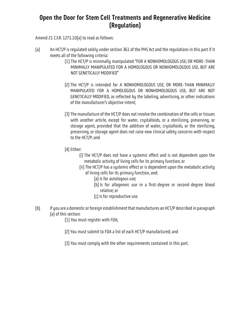#### <span id="page-33-0"></span>**Open the Door for Stem Cell Treatments and Regenerative Medicine (Regulation)**

Amend 21 C.F.R. 1271.10(a) to read as follows:

- (a) An HCT/P is regulated solely under section 361 of the PHS Act and the regulations in this part if it meets all of the following criteria:
	- (1) The HCT/P is minimally manipulated "FOR A NONHOMOLOGOUS USE; OR MORE-THAN MINIMALLY MANIPULATED FOR A HOMOLOGOUS OR NONHOMOLOGOUS USE, BUT ARE NOT GENETICALLY MODIFIED"
	- (2) The HCT/P is intended for A NONHOMOLOGOUS USE; OR MORE-THAN MINIMALLY MANIPULATED FOR A HOMOLOGOUS OR NONHOMOLOGOUS USE, BUT ARE NOT GENETICALLY MODIFIED, as reflected by the labeling, advertising, or other indications of the manufacturer's objective intent;
	- (3) The manufacture of the HCT/P does not involve the combination of the cells or tissues with another article, except for water, crystalloids, or a sterilizing, preserving, or storage agent, provided that the addition of water, crystalloids, or the sterilizing, preserving, or storage agent does not raise new clinical safety concerns with respect to the HCT/P; and
	- (4) Either:
		- (i) The HCT/P does not have a systemic effect and is not dependent upon the metabolic activity of living cells for its primary function; or
		- (ii) The HCT/P has a systemic effect or is dependent upon the metabolic activity of living cells for its primary function, and:
			- (a) Is for autologous use;
			- (b) Is for allogeneic use in a first-degree or second-degree blood relative; or
			- (c) Is for reproductive use.
- (b) If you are a domestic or foreign establishment that manufactures an HCT/P described in paragraph (a) of this section:
	- (1) You must register with FDA;
	- (2) You must submit to FDA a list of each HCT/P manufactured; and
	- (3) You must comply with the other requirements contained in this part.